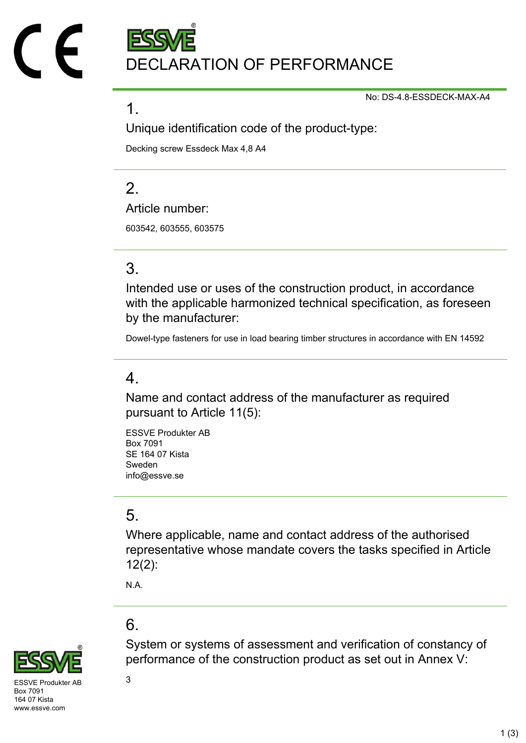DECLARATION OF PERFORMANCE

No: DS-4.8-ESSDECK-MAX-A4

#### 1.

Unique identification code of the product-type:

Decking screw Essdeck Max 4,8 A4

## $\mathcal{P}$

Article number:

603542, 603555, 603575

## 3.

Intended use or uses of the construction product, in accordance with the applicable harmonized technical specification, as foreseen by the manufacturer:

Dowel-type fasteners for use in load bearing timber structures in accordance with EN 14592

## 4.

Name and contact address of the manufacturer as required pursuant to Article 11(5):

ESSVE Produkter AB Box 7091 SE 164 07 Kista Sweden info@essve.se

## 5.

Where applicable, name and contact address of the authorised representative whose mandate covers the tasks specified in Article 12(2):

System or systems of assessment and verification of constancy of

performance of the construction product as set out in Annex V:

N.A.

## 6.



 $SVF$  Produkter AB  $3$ Box 7091 164 07 Kista www.essve.com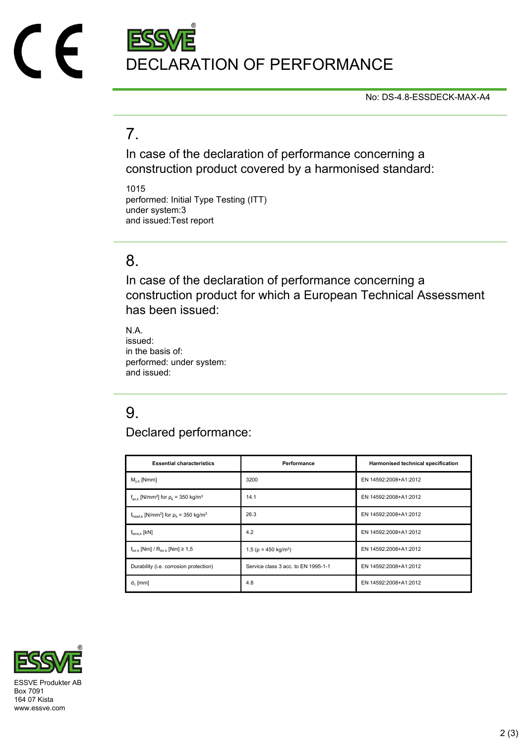

No: DS-4.8-ESSDECK-MAX-A4

## 7.

In case of the declaration of performance concerning a construction product covered by a harmonised standard:

1015 performed: Initial Type Testing (ITT) under system:3 and issued:Test report

### 8.

In case of the declaration of performance concerning a construction product for which a European Technical Assessment has been issued:

N.A. issued: in the basis of: performed: under system: and issued:

## 9.

Declared performance:

| <b>Essential characteristics</b>                                              | Performance                            | Harmonised technical specification |
|-------------------------------------------------------------------------------|----------------------------------------|------------------------------------|
| $M_{v k}$ [Nmm]                                                               | 3200                                   | EN 14592:2008+A1:2012              |
| $f_{\text{ax k}}$ [N/mm <sup>2</sup> ] for $\rho_k$ = 350 kg/m <sup>3</sup>   | 14.1                                   | EN 14592:2008+A1:2012              |
| $f_{\text{head},k}$ [N/mm <sup>2</sup> ] for $\rho_k$ = 350 kg/m <sup>3</sup> | 26.3                                   | EN 14592:2008+A1:2012              |
| $f_{tens,k}$ [kN]                                                             | 4.2                                    | EN 14592:2008+A1:2012              |
| $f_{\text{tor }k}$ [Nm] / $R_{\text{tor }k}$ [Nm] $\geq 1.5$                  | 1,5 ( $\rho$ = 450 kg/m <sup>3</sup> ) | EN 14592:2008+A1:2012              |
| Durability (i.e. corrosion protection)                                        | Service class 3 acc. to EN 1995-1-1    | EN 14592:2008+A1:2012              |
| $d_1$ [mm]                                                                    | 4.8                                    | EN 14592:2008+A1:2012              |



Box 7091 164 07 Kista www.essve.com